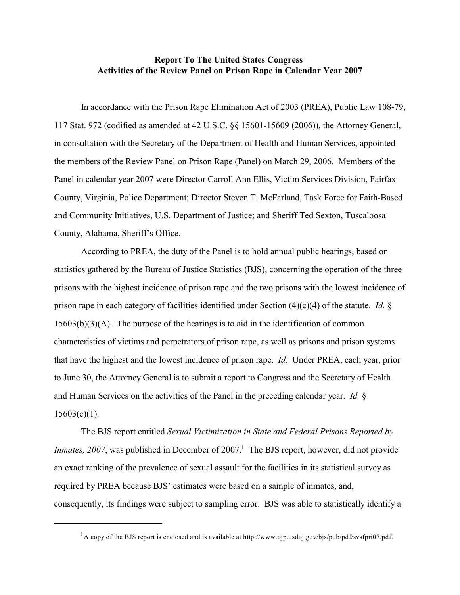## **Report To The United States Congress Activities of the Review Panel on Prison Rape in Calendar Year 2007**

In accordance with the Prison Rape Elimination Act of 2003 (PREA), Public Law 108-79, 117 Stat. 972 (codified as amended at 42 U.S.C. §§ 15601-15609 (2006)), the Attorney General, in consultation with the Secretary of the Department of Health and Human Services, appointed the members of the Review Panel on Prison Rape (Panel) on March 29, 2006. Members of the Panel in calendar year 2007 were Director Carroll Ann Ellis, Victim Services Division, Fairfax County, Virginia, Police Department; Director Steven T. McFarland, Task Force for Faith-Based and Community Initiatives, U.S. Department of Justice; and Sheriff Ted Sexton, Tuscaloosa County, Alabama, Sheriff's Office.

According to PREA, the duty of the Panel is to hold annual public hearings, based on statistics gathered by the Bureau of Justice Statistics (BJS), concerning the operation of the three prisons with the highest incidence of prison rape and the two prisons with the lowest incidence of prison rape in each category of facilities identified under Section (4)(c)(4) of the statute. *Id.* § 15603(b)(3)(A). The purpose of the hearings is to aid in the identification of common characteristics of victims and perpetrators of prison rape, as well as prisons and prison systems that have the highest and the lowest incidence of prison rape. *Id.* Under PREA, each year, prior to June 30, the Attorney General is to submit a report to Congress and the Secretary of Health and Human Services on the activities of the Panel in the preceding calendar year. *Id.* §  $15603(c)(1)$ .

The BJS report entitled *Sexual Victimization in State and Federal Prisons Reported by Inmates, 2007*, was published in December of 2007.<sup>1</sup> The BJS report, however, did not provide an exact ranking of the prevalence of sexual assault for the facilities in its statistical survey as required by PREA because BJS' estimates were based on a sample of inmates, and, consequently, its findings were subject to sampling error. BJS was able to statistically identify a

 $^{1}$ A copy of the BJS report is enclosed and is available at http://www.ojp.usdoj.gov/bjs/pub/pdf/svsfpri07.pdf.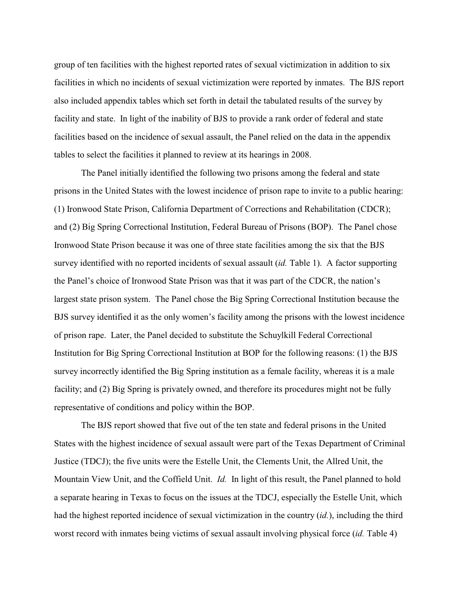group of ten facilities with the highest reported rates of sexual victimization in addition to six facilities in which no incidents of sexual victimization were reported by inmates. The BJS report also included appendix tables which set forth in detail the tabulated results of the survey by facility and state. In light of the inability of BJS to provide a rank order of federal and state facilities based on the incidence of sexual assault, the Panel relied on the data in the appendix tables to select the facilities it planned to review at its hearings in 2008.

The Panel initially identified the following two prisons among the federal and state prisons in the United States with the lowest incidence of prison rape to invite to a public hearing: (1) Ironwood State Prison, California Department of Corrections and Rehabilitation (CDCR); and (2) Big Spring Correctional Institution, Federal Bureau of Prisons (BOP). The Panel chose Ironwood State Prison because it was one of three state facilities among the six that the BJS survey identified with no reported incidents of sexual assault (*id.* Table 1). A factor supporting the Panel's choice of Ironwood State Prison was that it was part of the CDCR, the nation's largest state prison system. The Panel chose the Big Spring Correctional Institution because the BJS survey identified it as the only women's facility among the prisons with the lowest incidence of prison rape. Later, the Panel decided to substitute the Schuylkill Federal Correctional Institution for Big Spring Correctional Institution at BOP for the following reasons: (1) the BJS survey incorrectly identified the Big Spring institution as a female facility, whereas it is a male facility; and (2) Big Spring is privately owned, and therefore its procedures might not be fully representative of conditions and policy within the BOP.

The BJS report showed that five out of the ten state and federal prisons in the United States with the highest incidence of sexual assault were part of the Texas Department of Criminal Justice (TDCJ); the five units were the Estelle Unit, the Clements Unit, the Allred Unit, the Mountain View Unit, and the Coffield Unit. *Id.* In light of this result, the Panel planned to hold a separate hearing in Texas to focus on the issues at the TDCJ, especially the Estelle Unit, which had the highest reported incidence of sexual victimization in the country (*id.*), including the third worst record with inmates being victims of sexual assault involving physical force (*id.* Table 4)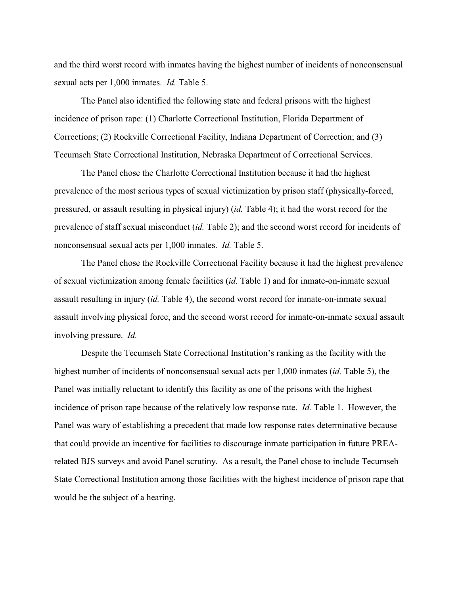and the third worst record with inmates having the highest number of incidents of nonconsensual sexual acts per 1,000 inmates. *Id.* Table 5.

The Panel also identified the following state and federal prisons with the highest incidence of prison rape: (1) Charlotte Correctional Institution, Florida Department of Corrections; (2) Rockville Correctional Facility, Indiana Department of Correction; and (3) Tecumseh State Correctional Institution, Nebraska Department of Correctional Services.

The Panel chose the Charlotte Correctional Institution because it had the highest prevalence of the most serious types of sexual victimization by prison staff (physically-forced, pressured, or assault resulting in physical injury) (*id.* Table 4); it had the worst record for the prevalence of staff sexual misconduct (*id.* Table 2); and the second worst record for incidents of nonconsensual sexual acts per 1,000 inmates. *Id.* Table 5.

The Panel chose the Rockville Correctional Facility because it had the highest prevalence of sexual victimization among female facilities (*id.* Table 1) and for inmate-on-inmate sexual assault resulting in injury (*id.* Table 4), the second worst record for inmate-on-inmate sexual assault involving physical force, and the second worst record for inmate-on-inmate sexual assault involving pressure. *Id.*

Despite the Tecumseh State Correctional Institution's ranking as the facility with the highest number of incidents of nonconsensual sexual acts per 1,000 inmates (*id.* Table 5), the Panel was initially reluctant to identify this facility as one of the prisons with the highest incidence of prison rape because of the relatively low response rate. *Id.* Table 1. However, the Panel was wary of establishing a precedent that made low response rates determinative because that could provide an incentive for facilities to discourage inmate participation in future PREArelated BJS surveys and avoid Panel scrutiny. As a result, the Panel chose to include Tecumseh State Correctional Institution among those facilities with the highest incidence of prison rape that would be the subject of a hearing.